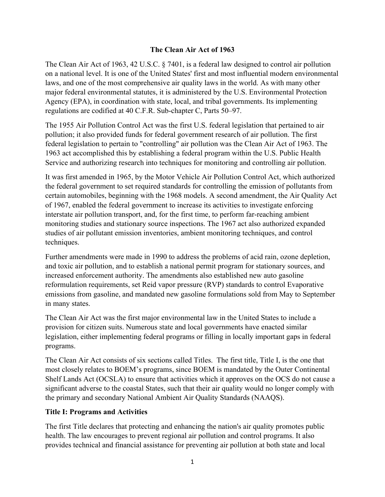#### **The Clean Air Act of 1963**

The Clean Air Act of 1963, 42 U.S.C. § 7401, is a federal law designed to control air pollution on a national level. It is one of the United States' first and most influential modern environmental laws, and one of the most comprehensive air quality laws in the world. As with many other major federal environmental statutes, it is administered by the U.S. Environmental Protection Agency (EPA), in coordination with state, local, and tribal governments. Its implementing regulations are codified at 40 C.F.R. Sub-chapter C, Parts 50–97.

The 1955 Air Pollution Control Act was the first U.S. federal legislation that pertained to air pollution; it also provided funds for federal government research of air pollution. The first federal legislation to pertain to "controlling" air pollution was the Clean Air Act of 1963. The 1963 act accomplished this by establishing a federal program within the U.S. Public Health Service and authorizing research into techniques for monitoring and controlling air pollution.

It was first amended in 1965, by the Motor Vehicle Air Pollution Control Act, which authorized the federal government to set required standards for controlling the emission of pollutants from certain automobiles, beginning with the 1968 models. A second amendment, the Air Quality Act of 1967, enabled the federal government to increase its activities to investigate enforcing interstate air pollution transport, and, for the first time, to perform far-reaching ambient monitoring studies and stationary source inspections. The 1967 act also authorized expanded studies of air pollutant emission inventories, ambient monitoring techniques, and control techniques.

Further amendments were made in 1990 to address the problems of acid rain, ozone depletion, and toxic air pollution, and to establish a national permit program for stationary sources, and increased enforcement authority. The amendments also established new auto gasoline reformulation requirements, set Reid vapor pressure (RVP) standards to control Evaporative emissions from gasoline, and mandated new gasoline formulations sold from May to September in many states.

The Clean Air Act was the first major environmental law in the United States to include a provision for citizen suits. Numerous state and local governments have enacted similar legislation, either implementing federal programs or filling in locally important gaps in federal programs.

The Clean Air Act consists of six sections called Titles. The first title, Title I, is the one that most closely relates to BOEM's programs, since BOEM is mandated by the Outer Continental Shelf Lands Act (OCSLA) to ensure that activities which it approves on the OCS do not cause a significant adverse to the coastal States, such that their air quality would no longer comply with the primary and secondary National Ambient Air Quality Standards (NAAQS).

#### **Title I: Programs and Activities**

The first Title declares that protecting and enhancing the nation's air quality promotes public health. The law encourages to prevent regional air pollution and control programs. It also provides technical and financial assistance for preventing air pollution at both state and local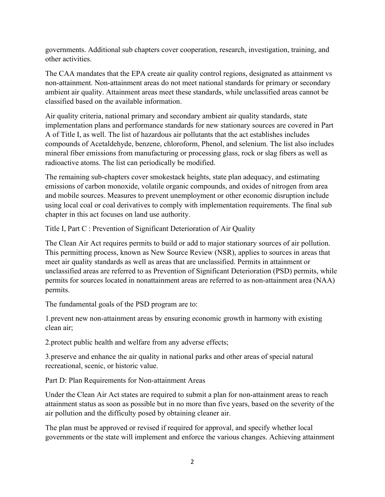governments. Additional sub chapters cover cooperation, research, investigation, training, and other activities.

The CAA mandates that the EPA create air quality control regions, designated as attainment vs non-attainment. Non-attainment areas do not meet national standards for primary or secondary ambient air quality. Attainment areas meet these standards, while unclassified areas cannot be classified based on the available information.

Air quality criteria, national primary and secondary ambient air quality standards, state implementation plans and performance standards for new stationary sources are covered in Part A of Title I, as well. The list of hazardous air pollutants that the act establishes includes compounds of Acetaldehyde, benzene, chloroform, Phenol, and selenium. The list also includes mineral fiber emissions from manufacturing or processing glass, rock or slag fibers as well as radioactive atoms. The list can periodically be modified.

The remaining sub-chapters cover smokestack heights, state plan adequacy, and estimating emissions of carbon monoxide, volatile organic compounds, and oxides of nitrogen from area and mobile sources. Measures to prevent unemployment or other economic disruption include using local coal or coal derivatives to comply with implementation requirements. The final sub chapter in this act focuses on land use authority.

Title I, Part C : Prevention of Significant Deterioration of Air Quality

The Clean Air Act requires permits to build or add to major stationary sources of air pollution. This permitting process, known as New Source Review (NSR), applies to sources in areas that meet air quality standards as well as areas that are unclassified. Permits in attainment or unclassified areas are referred to as Prevention of Significant Deterioration (PSD) permits, while permits for sources located in nonattainment areas are referred to as non-attainment area (NAA) permits.

The fundamental goals of the PSD program are to:

1.prevent new non-attainment areas by ensuring economic growth in harmony with existing clean air;

2.protect public health and welfare from any adverse effects;

3.preserve and enhance the air quality in national parks and other areas of special natural recreational, scenic, or historic value.

Part D: Plan Requirements for Non-attainment Areas

Under the Clean Air Act states are required to submit a plan for non-attainment areas to reach attainment status as soon as possible but in no more than five years, based on the severity of the air pollution and the difficulty posed by obtaining cleaner air.

The plan must be approved or revised if required for approval, and specify whether local governments or the state will implement and enforce the various changes. Achieving attainment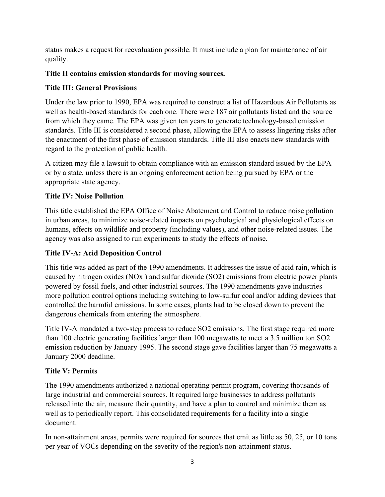status makes a request for reevaluation possible. It must include a plan for maintenance of air quality.

### **Title II contains emission standards for moving sources.**

### **Title III: General Provisions**

Under the law prior to 1990, EPA was required to construct a list of Hazardous Air Pollutants as well as health-based standards for each one. There were 187 air pollutants listed and the source from which they came. The EPA was given ten years to generate technology-based emission standards. Title III is considered a second phase, allowing the EPA to assess lingering risks after the enactment of the first phase of emission standards. Title III also enacts new standards with regard to the protection of public health.

A citizen may file a lawsuit to obtain compliance with an emission standard issued by the EPA or by a state, unless there is an ongoing enforcement action being pursued by EPA or the appropriate state agency.

### **Title IV: Noise Pollution**

This title established the EPA Office of Noise Abatement and Control to reduce noise pollution in urban areas, to minimize noise-related impacts on psychological and physiological effects on humans, effects on wildlife and property (including values), and other noise-related issues. The agency was also assigned to run experiments to study the effects of noise.

## **Title IV-A: Acid Deposition Control**

This title was added as part of the 1990 amendments. It addresses the issue of acid rain, which is caused by nitrogen oxides (NOx ) and sulfur dioxide (SO2) emissions from electric power plants powered by fossil fuels, and other industrial sources. The 1990 amendments gave industries more pollution control options including switching to low-sulfur coal and/or adding devices that controlled the harmful emissions. In some cases, plants had to be closed down to prevent the dangerous chemicals from entering the atmosphere.

Title IV-A mandated a two-step process to reduce SO2 emissions. The first stage required more than 100 electric generating facilities larger than 100 megawatts to meet a 3.5 million ton SO2 emission reduction by January 1995. The second stage gave facilities larger than 75 megawatts a January 2000 deadline.

# **Title V: Permits**

The 1990 amendments authorized a national operating permit program, covering thousands of large industrial and commercial sources. It required large businesses to address pollutants released into the air, measure their quantity, and have a plan to control and minimize them as well as to periodically report. This consolidated requirements for a facility into a single document.

In non-attainment areas, permits were required for sources that emit as little as 50, 25, or 10 tons per year of VOCs depending on the severity of the region's non-attainment status.